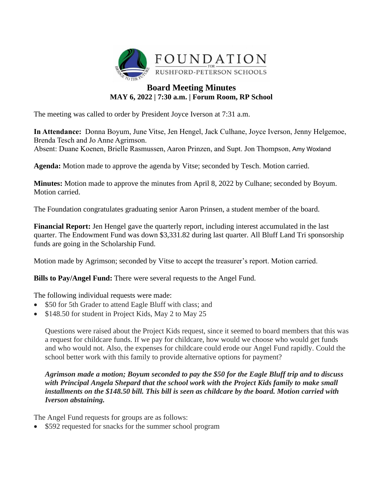

# **Board Meeting Minutes MAY 6, 2022 | 7:30 a.m. | Forum Room, RP School**

The meeting was called to order by President Joyce Iverson at 7:31 a.m.

**In Attendance:** Donna Boyum, June Vitse, Jen Hengel, Jack Culhane, Joyce Iverson, Jenny Helgemoe, Brenda Tesch and Jo Anne Agrimson.

Absent: Duane Koenen, Brielle Rasmussen, Aaron Prinzen, and Supt. Jon Thompson. , Amy Woxland

**Agenda:** Motion made to approve the agenda by Vitse; seconded by Tesch. Motion carried.

**Minutes:** Motion made to approve the minutes from April 8, 2022 by Culhane; seconded by Boyum. Motion carried.

The Foundation congratulates graduating senior Aaron Prinsen, a student member of the board.

**Financial Report:** Jen Hengel gave the quarterly report, including interest accumulated in the last quarter. The Endowment Fund was down \$3,331.82 during last quarter. All Bluff Land Tri sponsorship funds are going in the Scholarship Fund.

Motion made by Agrimson; seconded by Vitse to accept the treasurer's report. Motion carried.

**Bills to Pay/Angel Fund:** There were several requests to the Angel Fund.

The following individual requests were made:

- \$50 for 5th Grader to attend Eagle Bluff with class; and
- \$148.50 for student in Project Kids, May 2 to May 25

Questions were raised about the Project Kids request, since it seemed to board members that this was a request for childcare funds. If we pay for childcare, how would we choose who would get funds and who would not. Also, the expenses for childcare could erode our Angel Fund rapidly. Could the school better work with this family to provide alternative options for payment?

## *Agrimson made a motion; Boyum seconded to pay the \$50 for the Eagle Bluff trip and to discuss with Principal Angela Shepard that the school work with the Project Kids family to make small installments on the \$148.50 bill. This bill is seen as childcare by the board. Motion carried with Iverson abstaining.*

The Angel Fund requests for groups are as follows:

• \$592 requested for snacks for the summer school program